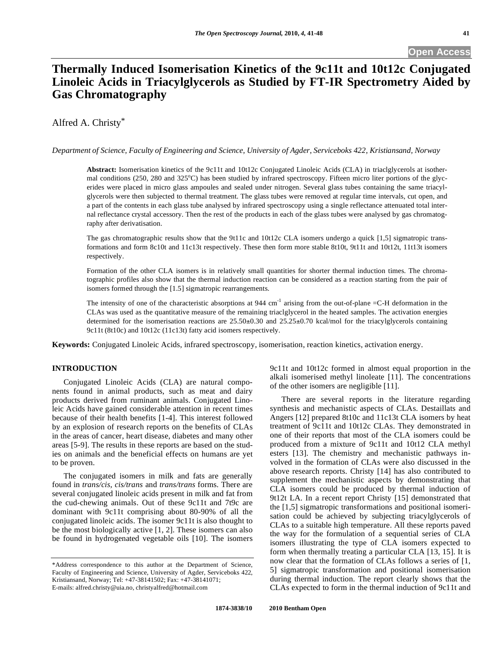# **Thermally Induced Isomerisation Kinetics of the 9c11t and 10t12c Conjugated Linoleic Acids in Triacylglycerols as Studied by FT-IR Spectrometry Aided by Gas Chromatography**

## Alfred A. Christy\*

#### *Department of Science, Faculty of Engineering and Science, University of Agder, Serviceboks 422, Kristiansand, Norway*

**Abstract:** Isomerisation kinetics of the 9c11t and 10t12c Conjugated Linoleic Acids (CLA) in triaclglycerols at isothermal conditions (250, 280 and 325°C) has been studied by infrared spectroscopy. Fifteen micro liter portions of the glycerides were placed in micro glass ampoules and sealed under nitrogen. Several glass tubes containing the same triacylglycerols were then subjected to thermal treatment. The glass tubes were removed at regular time intervals, cut open, and a part of the contents in each glass tube analysed by infrared spectroscopy using a single reflectance attenuated total internal reflectance crystal accessory. Then the rest of the products in each of the glass tubes were analysed by gas chromatography after derivatisation.

The gas chromatographic results show that the 9t11c and 10t12c CLA isomers undergo a quick [1,5] sigmatropic transformations and form 8c10t and 11c13t respectively. These then form more stable 8t10t, 9t11t and 10t12t, 11t13t isomers respectively.

Formation of the other CLA isomers is in relatively small quantities for shorter thermal induction times. The chromatographic profiles also show that the thermal induction reaction can be considered as a reaction starting from the pair of isomers formed through the [1.5] sigmatropic rearrangements.

The intensity of one of the characteristic absorptions at 944 cm<sup>-1</sup> arising from the out-of-plane  $=$ C-H deformation in the CLAs was used as the quantitative measure of the remaining triaclglycerol in the heated samples. The activation energies determined for the isomerisation reactions are  $25.50\pm0.30$  and  $25.25\pm0.70$  kcal/mol for the triacylglycerols containing 9c11t (8t10c) and 10t12c (11c13t) fatty acid isomers respectively.

**Keywords:** Conjugated Linoleic Acids, infrared spectroscopy, isomerisation, reaction kinetics, activation energy.

## **INTRODUCTION**

 Conjugated Linoleic Acids (CLA) are natural components found in animal products, such as meat and dairy products derived from ruminant animals. Conjugated Linoleic Acids have gained considerable attention in recent times because of their health benefits [1-4]. This interest followed by an explosion of research reports on the benefits of CLAs in the areas of cancer, heart disease, diabetes and many other areas [5-9]. The results in these reports are based on the studies on animals and the beneficial effects on humans are yet to be proven.

 The conjugated isomers in milk and fats are generally found in *trans/cis, cis/trans* and *trans/trans* forms. There are several conjugated linoleic acids present in milk and fat from the cud-chewing animals. Out of these 9c11t and 7t9c are dominant with 9c11t comprising about 80-90% of all the conjugated linoleic acids. The isomer 9c11t is also thought to be the most biologically active [1, 2]. These isomers can also be found in hydrogenated vegetable oils [10]. The isomers

9c11t and 10t12c formed in almost equal proportion in the alkali isomerised methyl linoleate [11]. The concentrations of the other isomers are negligible [11].

 There are several reports in the literature regarding synthesis and mechanistic aspects of CLAs. Destaillats and Angers [12] prepared 8t10c and 11c13t CLA isomers by heat treatment of 9c11t and 10t12c CLAs. They demonstrated in one of their reports that most of the CLA isomers could be produced from a mixture of 9c11t and 10t12 CLA methyl esters [13]. The chemistry and mechanistic pathways involved in the formation of CLAs were also discussed in the above research reports. Christy [14] has also contributed to supplement the mechanistic aspects by demonstrating that CLA isomers could be produced by thermal induction of 9t12t LA. In a recent report Christy [15] demonstrated that the [1,5] sigmatropic transformations and positional isomerisation could be achieved by subjecting triacylglycerols of CLAs to a suitable high temperature. All these reports paved the way for the formulation of a sequential series of CLA isomers illustrating the type of CLA isomers expected to form when thermally treating a particular CLA [13, 15]. It is now clear that the formation of CLAs follows a series of [1, 5] sigmatropic transformation and positional isomerisation during thermal induction. The report clearly shows that the CLAs expected to form in the thermal induction of 9c11t and

<sup>\*</sup>Address correspondence to this author at the Department of Science, Faculty of Engineering and Science, University of Agder, Serviceboks 422, Kristiansand, Norway; Tel: +47-38141502; Fax: +47-38141071; E-mails: alfred.christy@uia.no, christyalfred@hotmail.com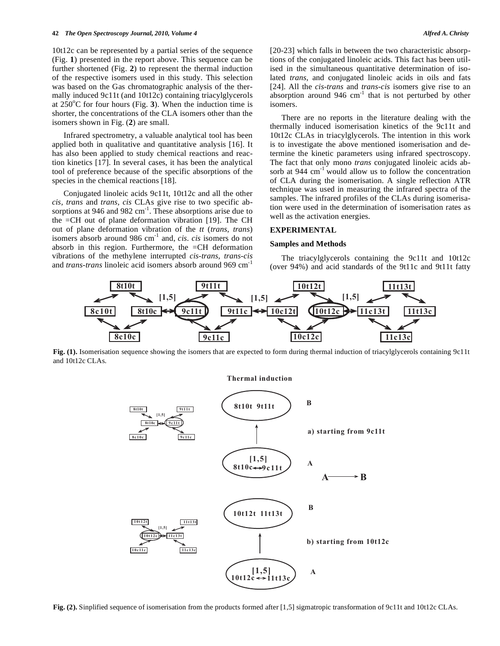10t12c can be represented by a partial series of the sequence (Fig. **1**) presented in the report above. This sequence can be further shortened (Fig. **2**) to represent the thermal induction of the respective isomers used in this study. This selection was based on the Gas chromatographic analysis of the thermally induced 9c11t (and 10t12c) containing triacylglycerols at  $250^{\circ}$ C for four hours (Fig. 3). When the induction time is shorter, the concentrations of the CLA isomers other than the isomers shown in Fig. (**2**) are small.

 Infrared spectrometry, a valuable analytical tool has been applied both in qualitative and quantitative analysis [16]. It has also been applied to study chemical reactions and reaction kinetics [17]. In several cases, it has been the analytical tool of preference because of the specific absorptions of the species in the chemical reactions [18].

 Conjugated linoleic acids 9c11t, 10t12c and all the other *cis, trans* and *trans, cis* CLAs give rise to two specific absorptions at 946 and 982  $\text{cm}^{-1}$ . These absorptions arise due to the =CH out of plane deformation vibration [19]. The CH out of plane deformation vibration of the *tt* (*trans, trans*) isomers absorb around 986 cm-1 and, *cis. cis* isomers do not absorb in this region. Furthermore, the =CH deformation vibrations of the methylene interrupted *cis-trans, trans-cis* and *trans-trans* linoleic acid isomers absorb around 969 cm-1

[20-23] which falls in between the two characteristic absorptions of the conjugated linoleic acids. This fact has been utilised in the simultaneous quantitative determination of isolated *trans,* and conjugated linoleic acids in oils and fats [24]. All the *cis-trans* and *trans-cis* isomers give rise to an absorption around 946  $cm^{-1}$  that is not perturbed by other isomers.

 There are no reports in the literature dealing with the thermally induced isomerisation kinetics of the 9c11t and 10t12c CLAs in triacylglycerols. The intention in this work is to investigate the above mentioned isomerisation and determine the kinetic parameters using infrared spectroscopy. The fact that only mono *trans* conjugated linoleic acids absorb at  $944 \text{ cm}^{-1}$  would allow us to follow the concentration of CLA during the isomerisation. A single reflection ATR technique was used in measuring the infrared spectra of the samples. The infrared profiles of the CLAs during isomerisation were used in the determination of isomerisation rates as well as the activation energies.

#### **EXPERIMENTAL**

#### **Samples and Methods**

 The triacylglycerols containing the 9c11t and 10t12c (over 94%) and acid standards of the 9t11c and 9t11t fatty



Fig. (1). Isomerisation sequence showing the isomers that are expected to form during thermal induction of triacylglycerols containing 9c11t and 10t12c CLAs.

**Thermal** induction



Fig. (2). Sinplified sequence of isomerisation from the products formed after [1,5] sigmatropic transformation of 9c11t and 10t12c CLAs.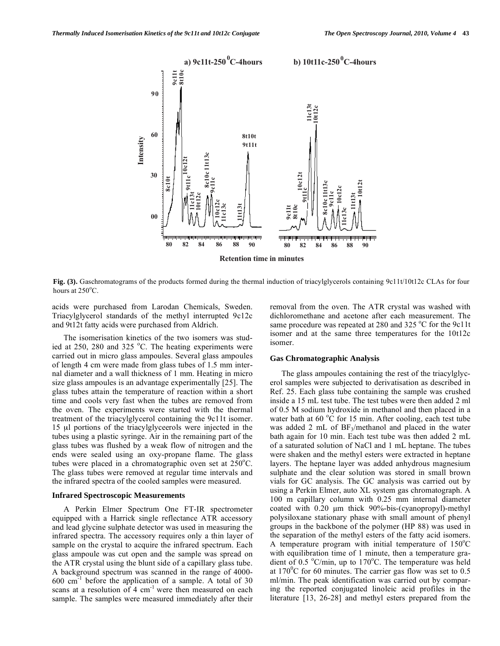

**Fig. (3).** Gaschromatograms of the products formed during the thermal induction of triacylglycerols containing 9c11t/10t12c CLAs for four hours at  $250^{\circ}$ C.

acids were purchased from Larodan Chemicals, Sweden. Triacylglycerol standards of the methyl interrupted 9c12c and 9t12t fatty acids were purchased from Aldrich.

 The isomerisation kinetics of the two isomers was studied at  $250$ ,  $280$  and  $325$  °C. The heating experiments were carried out in micro glass ampoules. Several glass ampoules of length 4 cm were made from glass tubes of 1.5 mm internal diameter and a wall thickness of 1 mm. Heating in micro size glass ampoules is an advantage experimentally [25]. The glass tubes attain the temperature of reaction within a short time and cools very fast when the tubes are removed from the oven. The experiments were started with the thermal treatment of the triacylglycerol containing the 9c11t isomer. 15 μl portions of the triacylglyceerols were injected in the tubes using a plastic syringe. Air in the remaining part of the glass tubes was flushed by a weak flow of nitrogen and the ends were sealed using an oxy-propane flame. The glass tubes were placed in a chromatographic oven set at  $250^{\circ}$ C. The glass tubes were removed at regular time intervals and the infrared spectra of the cooled samples were measured.

#### **Infrared Spectroscopic Measurements**

 A Perkin Elmer Spectrum One FT-IR spectrometer equipped with a Harrick single reflectance ATR accessory and lead glycine sulphate detector was used in measuring the infrared spectra. The accessory requires only a thin layer of sample on the crystal to acquire the infrared spectrum. Each glass ampoule was cut open and the sample was spread on the ATR crystal using the blunt side of a capillary glass tube. A background spectrum was scanned in the range of 4000-  $600 \text{ cm}^{-1}$  before the application of a sample. A total of 30 scans at a resolution of  $4 \text{ cm}^{-1}$  were then measured on each sample. The samples were measured immediately after their

removal from the oven. The ATR crystal was washed with dichloromethane and acetone after each measurement. The same procedure was repeated at 280 and 325 °C for the 9c11t isomer and at the same three temperatures for the 10t12c isomer.

#### **Gas Chromatographic Analysis**

 The glass ampoules containing the rest of the triacylglycerol samples were subjected to derivatisation as described in Ref. 25. Each glass tube containing the sample was crushed inside a 15 mL test tube. The test tubes were then added 2 ml of 0.5 M sodium hydroxide in methanol and then placed in a water bath at  $60\text{ °C}$  for 15 min. After cooling, each test tube was added 2 mL of  $BF_3/methanol$  and placed in the water bath again for 10 min. Each test tube was then added 2 mL of a saturated solution of NaCl and 1 mL heptane. The tubes were shaken and the methyl esters were extracted in heptane layers. The heptane layer was added anhydrous magnesium sulphate and the clear solution was stored in small brown vials for GC analysis. The GC analysis was carried out by using a Perkin Elmer, auto XL system gas chromatograph. A 100 m capillary column with 0.25 mm internal diameter coated with 0.20 μm thick 90%-bis-(cyanopropyl)-methyl polysiloxane stationary phase with small amount of phenyl groups in the backbone of the polymer (HP 88) was used in the separation of the methyl esters of the fatty acid isomers. A temperature program with initial temperature of  $150^{\circ}$ C with equilibration time of 1 minute, then a temperature gradient of 0.5 °C/min, up to 170°C. The temperature was held at  $170^{\circ}$ C for 60 minutes. The carrier gas flow was set to 0.5 ml/min. The peak identification was carried out by comparing the reported conjugated linoleic acid profiles in the literature [13, 26-28] and methyl esters prepared from the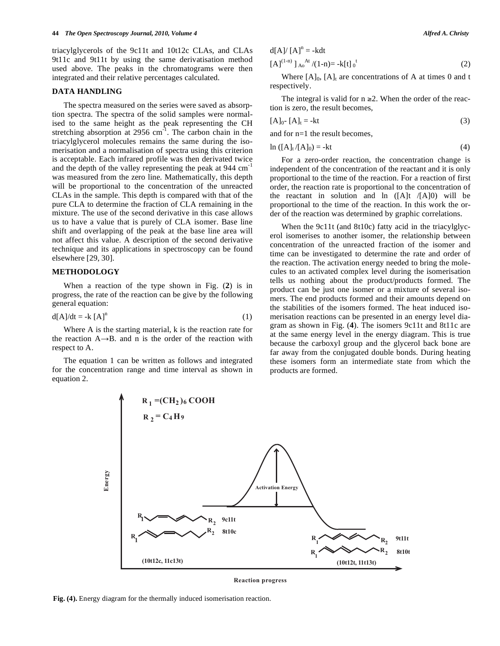triacylglycerols of the 9c11t and 10t12c CLAs, and CLAs 9t11c and 9t11t by using the same derivatisation method used above. The peaks in the chromatograms were then integrated and their relative percentages calculated.

#### **DATA HANDLING**

 The spectra measured on the series were saved as absorption spectra. The spectra of the solid samples were normalised to the same height as the peak representing the CH stretching absorption at  $2956 \text{ cm}^{-1}$ . The carbon chain in the triacylglycerol molecules remains the same during the isomerisation and a normalisation of spectra using this criterion is acceptable. Each infrared profile was then derivated twice and the depth of the valley representing the peak at 944 cm<sup>-1</sup> was measured from the zero line. Mathematically, this depth will be proportional to the concentration of the unreacted CLAs in the sample. This depth is compared with that of the pure CLA to determine the fraction of CLA remaining in the mixture. The use of the second derivative in this case allows us to have a value that is purely of CLA isomer. Base line shift and overlapping of the peak at the base line area will not affect this value. A description of the second derivative technique and its applications in spectroscopy can be found elsewhere [29, 30].

#### **METHODOLOGY**

 When a reaction of the type shown in Fig. (**2**) is in progress, the rate of the reaction can be give by the following general equation:

$$
d[A]/dt = -k [A]n
$$
 (1)

 Where A is the starting material, k is the reaction rate for the reaction  $A \rightarrow B$ . and n is the order of the reaction with respect to A.

 The equation 1 can be written as follows and integrated for the concentration range and time interval as shown in equation 2.

$$
d[A]/ [A]n = -kdt
$$
  
[A]<sup>(1-n)</sup> ]<sub>Ao</sub><sup>At</sup>/(1-n) = -k[t]<sub>0</sub><sup>t</sup> (2)

Where  $[A]_0$ ,  $[A]_t$  are concentrations of A at times 0 and t respectively.

The integral is valid for  $n \ge 2$ . When the order of the reaction is zero, the result becomes,

$$
[A]_0 - [A]_t = -kt \tag{3}
$$

and for n=1 the result becomes,

$$
\ln\left(\left[A\right]_t / \left[A\right]_0\right) = -kt\tag{4}
$$

 For a zero-order reaction, the concentration change is independent of the concentration of the reactant and it is only proportional to the time of the reaction. For a reaction of first order, the reaction rate is proportional to the concentration of the reactant in solution and  $\ln$  ([A]t /[A]0) will be proportional to the time of the reaction. In this work the order of the reaction was determined by graphic correlations.

When the 9c11t (and 8t10c) fatty acid in the triacylglycerol isomerises to another isomer, the relationship between concentration of the unreacted fraction of the isomer and time can be investigated to determine the rate and order of the reaction. The activation energy needed to bring the molecules to an activated complex level during the isomerisation tells us nothing about the product/products formed. The product can be just one isomer or a mixture of several isomers. The end products formed and their amounts depend on the stabilities of the isomers formed. The heat induced isomerisation reactions can be presented in an energy level diagram as shown in Fig. (**4**). The isomers 9c11t and 8t11c are at the same energy level in the energy diagram. This is true because the carboxyl group and the glycerol back bone are far away from the conjugated double bonds. During heating these isomers form an intermediate state from which the products are formed.



**Reaction progress** 

**Fig. (4).** Energy diagram for the thermally induced isomerisation reaction.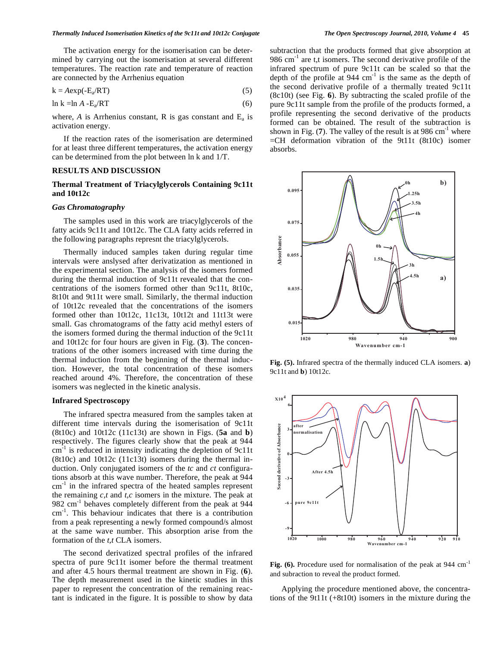The activation energy for the isomerisation can be determined by carrying out the isomerisation at several different temperatures. The reaction rate and temperature of reaction are connected by the Arrhenius equation

$$
k = A \exp(-E_a / RT) \tag{5}
$$

$$
\ln k = \ln A - \mathbf{E}_a / RT \tag{6}
$$

where,  $A$  is Arrhenius constant,  $R$  is gas constant and  $E_a$  is activation energy.

 If the reaction rates of the isomerisation are determined for at least three different temperatures, the activation energy can be determined from the plot between ln k and 1/T.

### **RESULTS AND DISCUSSION**

#### **Thermal Treatment of Triacylglycerols Containing 9c11t and 10t12c**

#### *Gas Chromatography*

 The samples used in this work are triacylglycerols of the fatty acids 9c11t and 10t12c. The CLA fatty acids referred in the following paragraphs represnt the triacylglycerols.

 Thermally induced samples taken during regular time intervals were anslysed after derivatization as mentioned in the experimental section. The analysis of the isomers formed during the thermal induction of 9c11t revealed that the concentrations of the isomers formed other than 9c11t, 8t10c, 8t10t and 9t11t were small. Similarly, the thermal induction of 10t12c revealed that the concentrations of the isomers formed other than 10t12c, 11c13t, 10t12t and 11t13t were small. Gas chromatograms of the fatty acid methyl esters of the isomers formed during the thermal induction of the 9c11t and 10t12c for four hours are given in Fig. (**3**). The concentrations of the other isomers increased with time during the thermal induction from the beginning of the thermal induction. However, the total concentration of these isomers reached around 4%. Therefore, the concentration of these isomers was neglected in the kinetic analysis.

#### **Infrared Spectroscopy**

 The infrared spectra measured from the samples taken at different time intervals during the isomerisation of 9c11t (8t10c) and 10t12c (11c13t) are shown in Figs. (**5a** and **b**) respectively. The figures clearly show that the peak at 944  $cm<sup>-1</sup>$  is reduced in intensity indicating the depletion of 9c11t (8t10c) and 10t12c (11c13t) isomers during the thermal induction. Only conjugated isomers of the *tc* and *ct* configurations absorb at this wave number. Therefore, the peak at 944 cm<sup>-1</sup> in the infrared spectra of the heated samples represent the remaining *c,t* and *t,c* isomers in the mixture. The peak at 982 cm<sup>-1</sup> behaves completely different from the peak at 944 cm-1. This behaviour indicates that there is a contribution from a peak representing a newly formed compound/s almost at the same wave number. This absorption arise from the formation of the *t,t* CLA isomers.

 The second derivatized spectral profiles of the infrared spectra of pure 9c11t isomer before the thermal treatment and after 4.5 hours thermal treatment are shown in Fig. (**6**). The depth measurement used in the kinetic studies in this paper to represent the concentration of the remaining reactant is indicated in the figure. It is possible to show by data

subtraction that the products formed that give absorption at 986 cm<sup>-1</sup> are t,t isomers. The second derivative profile of the infrared spectrum of pure 9c11t can be scaled so that the depth of the profile at  $944 \text{ cm}^{-1}$  is the same as the depth of the second derivative profile of a thermally treated 9c11t (8c10t) (see Fig. **6**). By subtracting the scaled profile of the pure 9c11t sample from the profile of the products formed, a profile representing the second derivative of the products formed can be obtained. The result of the subtraction is shown in Fig.  $(7)$ . The valley of the result is at 986 cm<sup>-1</sup> where  $=CH$  deformation vibration of the 9t11t (8t10c) isomer absorbs.



**Fig. (5).** Infrared spectra of the thermally induced CLA isomers. **a**) 9c11t and **b**) 10t12c.



Fig. (6). Procedure used for normalisation of the peak at 944 cm<sup>-1</sup> and subraction to reveal the product formed.

 Applying the procedure mentioned above, the concentrations of the 9t11t (+8t10t) isomers in the mixture during the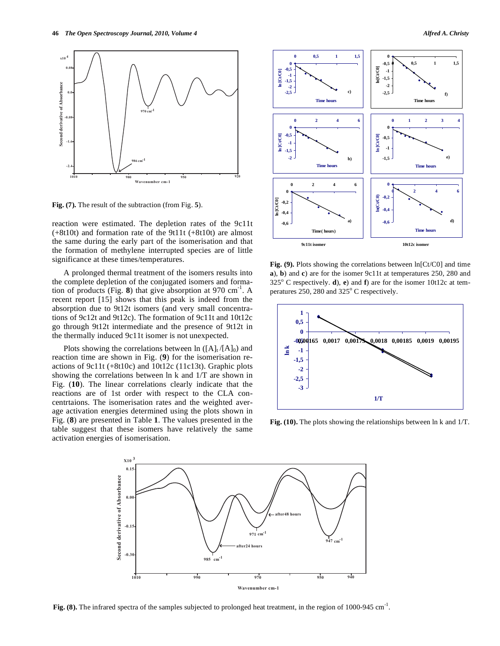

**Fig. (7).** The result of the subtraction (from Fig. **5**).

reaction were estimated. The depletion rates of the 9c11t (+8t10t) and formation rate of the 9t11t (+8t10t) are almost the same during the early part of the isomerisation and that the formation of methylene interrupted species are of little significance at these times/temperatures.

 A prolonged thermal treatment of the isomers results into the complete depletion of the conjugated isomers and formation of products (Fig. **8**) that give absorption at 970  $\text{cm}^{-1}$ . A recent report [15] shows that this peak is indeed from the absorption due to 9t12t isomers (and very small concentrations of 9c12t and 9t12c). The formation of 9c11t and 10t12c go through 9t12t intermediate and the presence of 9t12t in the thermally induced 9c11t isomer is not unexpected.

Plots showing the correlations between  $\ln (A_t / [A]_0)$  and reaction time are shown in Fig. (**9**) for the isomerisation reactions of 9c11t (+8t10c) and 10t12c (11c13t). Graphic plots showing the correlations between ln k and 1/T are shown in Fig. (**10**). The linear correlations clearly indicate that the reactions are of 1st order with respect to the CLA concentrtaions. The isomerisation rates and the weighted average activation energies determined using the plots shown in Fig. (**8**) are presented in Table **1**. The values presented in the table suggest that these isomers have relatively the same activation energies of isomerisation.



Fig. (9). Plots showing the correlations between  $ln[Ct/CO]$  and time **a**), **b**) and **c**) are for the isomer 9c11t at temperatures 250, 280 and  $325^{\circ}$  C respectively. **d**), **e**) and **f**) are for the isomer 10t12c at temperatures  $250$ ,  $280$  and  $325^\circ$  C respectively.



**Fig. (10).** The plots showing the relationships between ln k and 1/T.



**Fig. (8).** The infrared spectra of the samples subjected to prolonged heat treatment, in the region of 1000-945 cm<sup>-1</sup>.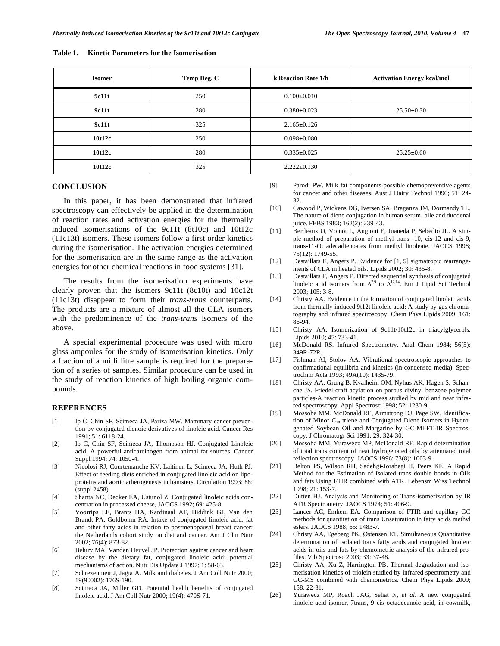| <b>Isomer</b> | Temp Deg. C | k Reaction Rate 1/h | <b>Activation Energy kcal/mol</b> |
|---------------|-------------|---------------------|-----------------------------------|
| 9c11t         | 250         | $0.100 \pm 0.010$   |                                   |
| 9c11t         | 280         | $0.380 \pm 0.023$   | $25.50 \pm 0.30$                  |
| 9c11t         | 325         | $2.165 \pm 0.126$   |                                   |
| 10t12c        | 250         | $0.098 \pm 0.080$   |                                   |
| 10t12c        | 280         | $0.335 \pm 0.025$   | $25.25 \pm 0.60$                  |
| 10t12c        | 325         | $2.222 \pm 0.130$   |                                   |

#### **Table 1. Kinetic Parameters for the Isomerisation**

#### **CONCLUSION**

 In this paper, it has been demonstrated that infrared spectroscopy can effectively be applied in the determination of reaction rates and activation energies for the thermally induced isomerisations of the 9c11t (8t10c) and 10t12c (11c13t) isomers. These isomers follow a first order kinetics during the isomerisation. The activation energies determined for the isomerisation are in the same range as the activation energies for other chemical reactions in food systems [31].

 The results from the isomerisation experiments have clearly proven that the isomers 9c11t (8c10t) and 10c12t (11c13t) disappear to form their *trans-trans* counterparts. The products are a mixture of almost all the CLA isomers with the predominence of the *trans-trans* isomers of the above.

 A special experimental procedure was used with micro glass ampoules for the study of isomerisation kinetics. Only a fraction of a milli litre sample is required for the preparation of a series of samples. Similar procedure can be used in the study of reaction kinetics of high boiling organic compounds.

#### **REFERENCES**

- [1] Ip C, Chin SF, Scimeca JA, Pariza MW. Mammary cancer prevention by conjugated dienoic derivatives of linoleic acid. Cancer Res 1991; 51: 6118-24.
- [2] Ip C, Chin SF, Scimeca JA, Thompson HJ. Conjugated Linoleic acid. A powerful anticarcinogen from animal fat sources. Cancer Suppl 1994; 74: 1050-4.
- [3] Nicolosi RJ, Courtemanche KV, Laitinen L, Scimeca JA, Huth PJ. Effect of feeding diets enriched in conjugated linoleic acid on lipoproteins and aortic atherogenesis in hamsters. Circulation 1993; 88: (suppl 2458).
- [4] Shanta NC, Decker EA, Ustunol Z. Conjugated linoleic acids concentration in processed cheese, JAOCS 1992; 69: 425-8.
- [5] Voorrips LE, Brants HA, Kardinaal AF, Hiddink GJ, Van den Brandt PA, Goldbohm RA. Intake of conjugated linoleic acid, fat and other fatty acids in relation to postmenopausal breast cancer: the Netherlands cohort study on diet and cancer. Am J Clin Nutr 2002; 76(4): 873-82.
- [6] Belury MA, Vanden Heuvel JP. Protection against cancer and heart disease by the dietary fat, conjugated linoleic acid: potential mechanisms of action. Nutr Dis Update J 1997; 1: 58-63.
- [7] Schrezenmeir J, Jagia A. Milk and diabetes. J Am Coll Nutr 2000; 19(90002): 176S-190.
- [8] Scimeca JA, Miller GD. Potential health benefits of conjugated linoleic acid. J Am Coll Nutr 2000; 19(4): 470S-71.
- [9] Parodi PW. Milk fat components-possible chemopreventive agents for cancer and other diseases. Aust J Dairy Technol 1996; 51: 24- 32.
- [10] Cawood P, Wickens DG, Iversen SA, Braganza JM, Dormandy TL. The nature of diene conjugation in human serum, bile and duodenal juice. FEBS 1983; 162(2): 239-43.
- [11] Berdeaux O, Voinot L, Angioni E, Juaneda P, Sebedio JL. A simple method of preparation of methyl trans -10, cis-12 and cis-9, trans-11-Octadecadienoates from methyl linoleate. JAOCS 1998; 75(12): 1749-55.
- [12] Destaillats F, Angers P. Evidence for [1, 5] sigmatropic rearrangements of CLA in heated oils. Lipids 2002; 30: 435-8.
- [13] Destaillats F, Angers P. Directed sequential synthesis of conjugated linoleic acid isomers from  $\Delta^{7,9}$  to  $\Delta^{12,14}$ . Eur J Lipid Sci Technol  $2003:105:3-8.$
- [14] Christy AA. Evidence in the formation of conjugated linoleic acids from thermally induced 9t12t linoleic acid: A study by gas chromatography and infrared spectroscopy. Chem Phys Lipids 2009; 161: 86-94.
- [15] Christy AA. Isomerization of 9c11t/10t12c in triacylglycerols. Lipids 2010; 45: 733-41.
- [16] McDonald RS. Infrared Spectrometry. Anal Chem 1984; 56(5): 349R-72R.
- [17] Fishman AI, Stolov AA. Vibrational spectroscopic approaches to confirmational equilibria and kinetics (in condensed media). Spectrochim Acta 1993; 49A(10): 1435-79.
- [18] Christy AA, Grung B, Kvalheim OM, Nyhus AK, Hagen S, Schanche JS. Friedel-craft acylation on porous divinyl benzene polymer particles-A reaction kinetic process studied by mid and near infrared spectroscopy. Appl Spectrosc 1998; 52: 1230-9.
- [19] Mossoba MM, McDonald RE, Armstrong DJ, Page SW. Identification of Minor C<sub>18</sub> triene and Conjugated Diene Isomers in Hydrogenated Soybean Oil and Margarine by GC-MI-FT-IR Spectroscopy. J Chromatogr Sci 1991: 29: 324-30.
- [20] Mossoba MM, Yurawecz MP, McDonald RE. Rapid determination of total trans content of neat hydrogenated oils by attenuated total reflection spectroscopy. JAOCS 1996; 73(8): 1003-9.
- [21] Belton PS, Wilson RH, Sadehgi-Jorabegi H, Peers KE. A Rapid Method for the Estimation of Isolated trans double bonds in Oils and fats Using FTIR combined with ATR. Lebensm Wiss Technol 1998; 21: 153-7.
- [22] Dutten HJ. Analysis and Monitoring of Trans-isomerization by IR ATR Spectrometry. JAOCS 1974; 51: 406-9.
- [23] Lancer AC, Emkem EA. Comparison of FTIR and capillary GC methods for quantitation of trans Unsaturation in fatty acids methyl esters. JAOCS 1988; 65: 1483-7.
- [24] Christy AA, Egeberg PK, Østensen ET. Simultaneous Quantitative determination of isolated trans fatty acids and conjugated linoleic acids in oils and fats by chemometric analysis of the infrared profiles. Vib Spectrosc 2003; 33: 37-48.
- [25] Christy AA, Xu Z, Harrington PB. Thermal degradation and isomerisation kinetics of triolein studied by infrared spectrometry and GC-MS combined with chemometrics. Chem Phys Lipids 2009; 158: 22-31.
- [26] Yurawecz MP, Roach JAG, Sehat N, *et al*. A new conjugated linoleic acid isomer, 7trans, 9 cis octadecanoic acid, in cowmilk,